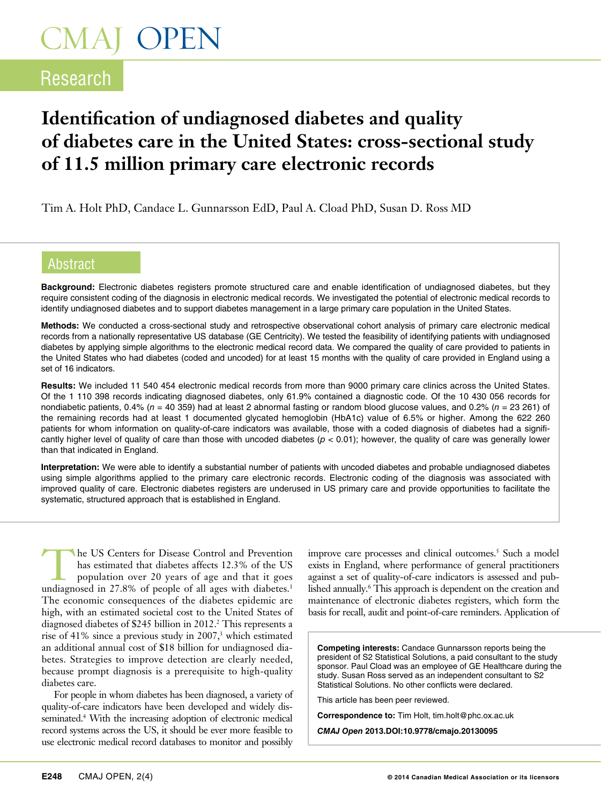### Research

## **Identification of undiagnosed diabetes and quality of diabetes care in the United States: cross-sectional study of 11.5 million primary care electronic records**

Tim A. Holt PhD, Candace L. Gunnarsson EdD, Paul A. Cload PhD, Susan D. Ross MD

#### Abstract

**Background:** Electronic diabetes registers promote structured care and enable identification of undiagnosed diabetes, but they require consistent coding of the diagnosis in electronic medical records. We investigated the potential of electronic medical records to identify undiagnosed diabetes and to support diabetes management in a large primary care population in the United States.

**Methods:** We conducted a cross-sectional study and retrospective observational cohort analysis of primary care electronic medical records from a nationally representative US database (GE Centricity). We tested the feasibility of identifying patients with undiagnosed diabetes by applying simple algorithms to the electronic medical record data. We compared the quality of care provided to patients in the United States who had diabetes (coded and uncoded) for at least 15 months with the quality of care provided in England using a set of 16 indicators.

**Results:** We included 11 540 454 electronic medical records from more than 9000 primary care clinics across the United States. Of the 1 110 398 records indicating diagnosed diabetes, only 61.9% contained a diagnostic code. Of the 10 430 056 records for nondiabetic patients, 0.4% (*n* = 40 359) had at least 2 abnormal fasting or random blood glucose values, and 0.2% (*n* = 23 261) of the remaining records had at least 1 documented glycated hemoglobin (HbA1c) value of 6.5% or higher. Among the 622 260 patients for whom information on quality-of-care indicators was available, those with a coded diagnosis of diabetes had a significantly higher level of quality of care than those with uncoded diabetes  $(p < 0.01)$ ; however, the quality of care was generally lower than that indicated in England.

**Interpretation:** We were able to identify a substantial number of patients with uncoded diabetes and probable undiagnosed diabetes using simple algorithms applied to the primary care electronic records. Electronic coding of the diagnosis was associated with improved quality of care. Electronic diabetes registers are underused in US primary care and provide opportunities to facilitate the systematic, structured approach that is established in England.

The US Centers for Disease Control and Prevention<br>has estimated that diabetes affects 12.3% of the US<br>population over 20 years of age and that it goes<br>undiscreped in 27.8% of people of all age with diabetes l has estimated that diabetes affects 12.3% of the US undiagnosed in 27.8% of people of all ages with diabetes.<sup>1</sup> The economic consequences of the diabetes epidemic are high, with an estimated societal cost to the United States of diagnosed diabetes of \$245 billion in 2012.<sup>2</sup> This represents a rise of 41% since a previous study in 2007,<sup>3</sup> which estimated an additional annual cost of \$18 billion for undiagnosed diabetes. Strategies to improve detection are clearly needed, because prompt diagnosis is a prerequisite to high-quality diabetes care.

For people in whom diabetes has been diagnosed, a variety of quality-of-care indicators have been developed and widely disseminated.<sup>4</sup> With the increasing adoption of electronic medical record systems across the US, it should be ever more feasible to use electronic medical record databases to monitor and possibly

improve care processes and clinical outcomes.<sup>5</sup> Such a model exists in England, where performance of general practitioners against a set of quality-of-care indicators is assessed and published annually.<sup>6</sup> This approach is dependent on the creation and maintenance of electronic diabetes registers, which form the basis for recall, audit and point-of-care reminders. Application of

**Competing interests:** Candace Gunnarsson reports being the president of S2 Statistical Solutions, a paid consultant to the study sponsor. Paul Cload was an employee of GE Healthcare during the study. Susan Ross served as an independent consultant to S2 Statistical Solutions. No other conflicts were declared.

This article has been peer reviewed.

**Correspondence to:** Tim Holt, tim.holt@phc.ox.ac.uk

*CMAJ Open* **2013.DOI:10.9778/cmajo.20130095**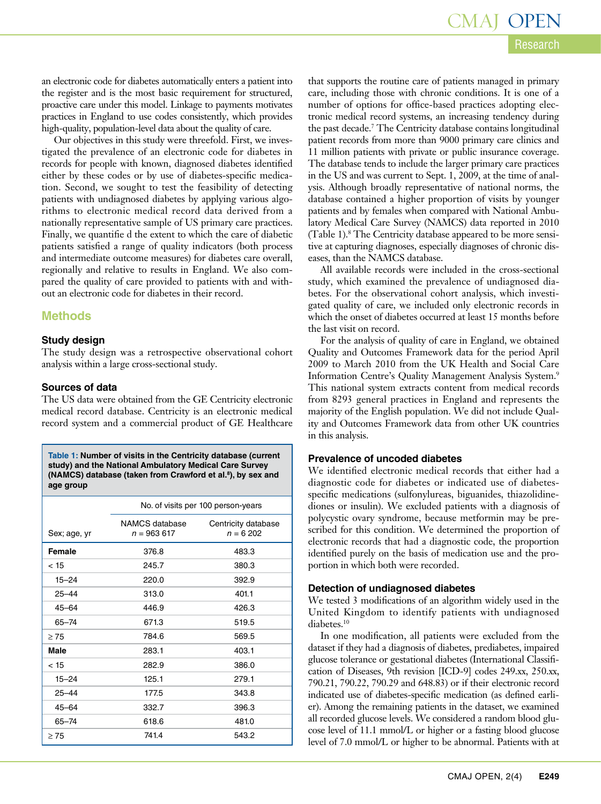an electronic code for diabetes automatically enters a patient into the register and is the most basic requirement for structured, proactive care under this model. Linkage to payments motivates practices in England to use codes consistently, which provides high-quality, population-level data about the quality of care.

Our objectives in this study were threefold. First, we investigated the prevalence of an electronic code for diabetes in records for people with known, diagnosed diabetes identified either by these codes or by use of diabetes-specific medication. Second, we sought to test the feasibility of detecting patients with undiagnosed diabetes by applying various algorithms to electronic medical record data derived from a nationally representative sample of US primary care practices. Finally, we quantifie d the extent to which the care of diabetic patients satisfied a range of quality indicators (both process and intermediate outcome measures) for diabetes care overall, regionally and relative to results in England. We also compared the quality of care provided to patients with and without an electronic code for diabetes in their record.

#### **Methods**

#### **Study design**

The study design was a retrospective observational cohort analysis within a large cross-sectional study.

#### **Sources of data**

The US data were obtained from the GE Centricity electronic medical record database. Centricity is an electronic medical record system and a commercial product of GE Healthcare

**Table 1: Number of visits in the Centricity database (current study) and the National Ambulatory Medical Care Survey (NAMCS) database (taken from Crawford et al.8), by sex and age group**

|               | No. of visits per 100 person-years |                                   |  |  |  |  |
|---------------|------------------------------------|-----------------------------------|--|--|--|--|
| Sex; age, yr  | NAMCS database<br>$n = 963617$     | Centricity database<br>$n = 6202$ |  |  |  |  |
| <b>Female</b> | 376.8                              | 483.3                             |  |  |  |  |
| < 15          | 245.7                              | 380.3                             |  |  |  |  |
| $15 - 24$     | 220.0                              | 392.9                             |  |  |  |  |
| $25 - 44$     | 313.0                              | 401.1                             |  |  |  |  |
| $45 - 64$     | 446.9                              | 426.3                             |  |  |  |  |
| $65 - 74$     | 671.3                              | 519.5                             |  |  |  |  |
| $\geq 75$     | 784.6                              | 569.5                             |  |  |  |  |
| Male          | 283.1                              | 403.1                             |  |  |  |  |
| < 15          | 282.9                              | 386.0                             |  |  |  |  |
| $15 - 24$     | 125.1                              | 279.1                             |  |  |  |  |
| $25 - 44$     | 177.5                              | 343.8                             |  |  |  |  |
| $45 - 64$     | 332.7                              | 396.3                             |  |  |  |  |
| $65 - 74$     | 618.6                              | 481.0                             |  |  |  |  |
| $\geq 75$     | 741.4                              | 543.2                             |  |  |  |  |

that supports the routine care of patients managed in primary care, including those with chronic conditions. It is one of a number of options for office-based practices adopting electronic medical record systems, an increasing tendency during the past decade.7 The Centricity database contains longitudinal patient records from more than 9000 primary care clinics and 11 million patients with private or public insurance coverage. The database tends to include the larger primary care practices in the US and was current to Sept. 1, 2009, at the time of analysis. Although broadly representative of national norms, the database contained a higher proportion of visits by younger patients and by females when compared with National Ambulatory Medical Care Survey (NAMCS) data reported in 2010 (Table 1).8 The Centricity database appeared to be more sensitive at capturing diagnoses, especially diagnoses of chronic diseases, than the NAMCS database.

All available records were included in the cross-sectional study, which examined the prevalence of undiagnosed diabetes. For the observational cohort analysis, which investigated quality of care, we included only electronic records in which the onset of diabetes occurred at least 15 months before the last visit on record.

For the analysis of quality of care in England, we obtained Quality and Outcomes Framework data for the period April 2009 to March 2010 from the UK Health and Social Care Information Centre's Quality Management Analysis System.9 This national system extracts content from medical records from 8293 general practices in England and represents the majority of the English population. We did not include Quality and Outcomes Framework data from other UK countries in this analysis.

#### **Prevalence of uncoded diabetes**

We identified electronic medical records that either had a diagnostic code for diabetes or indicated use of diabetesspecific medications (sulfonylureas, biguanides, thiazolidinediones or insulin). We excluded patients with a diagnosis of polycystic ovary syndrome, because metformin may be prescribed for this condition. We determined the proportion of electronic records that had a diagnostic code, the proportion identified purely on the basis of medication use and the proportion in which both were recorded.

#### **Detection of undiagnosed diabetes**

We tested 3 modifications of an algorithm widely used in the United Kingdom to identify patients with undiagnosed diabetes.<sup>10</sup>

In one modification, all patients were excluded from the dataset if they had a diagnosis of diabetes, prediabetes, impaired glucose tolerance or gestational diabetes (International Classification of Diseases, 9th revision [ICD-9] codes 249.xx, 250.xx, 790.21, 790.22, 790.29 and 648.83) or if their electronic record indicated use of diabetes-specific medication (as defined earlier). Among the remaining patients in the dataset, we examined all recorded glucose levels. We considered a random blood glucose level of 11.1 mmol/L or higher or a fasting blood glucose level of 7.0 mmol/L or higher to be abnormal. Patients with at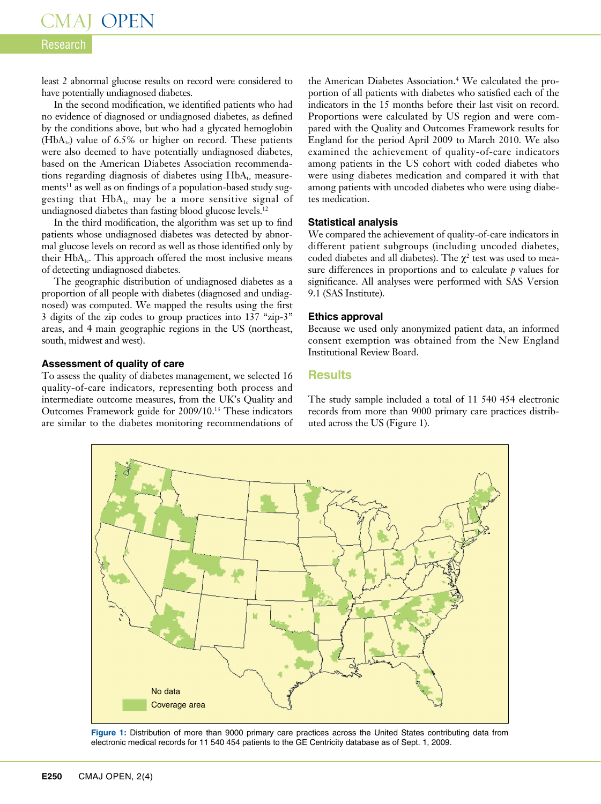#### Research

least 2 abnormal glucose results on record were considered to have potentially undiagnosed diabetes.

In the second modification, we identified patients who had no evidence of diagnosed or undiagnosed diabetes, as defined by the conditions above, but who had a glycated hemoglobin  $(HbA<sub>1c</sub>)$  value of 6.5% or higher on record. These patients were also deemed to have potentially undiagnosed diabetes, based on the American Diabetes Association recommendations regarding diagnosis of diabetes using  $HbA_{1c}$  measurements<sup>11</sup> as well as on findings of a population-based study suggesting that  $HbA_{1c}$  may be a more sensitive signal of undiagnosed diabetes than fasting blood glucose levels.12

In the third modification, the algorithm was set up to find patients whose undiagnosed diabetes was detected by abnormal glucose levels on record as well as those identified only by their  $HbA_{1c}$ . This approach offered the most inclusive means of detecting undiagnosed diabetes.

The geographic distribution of undiagnosed diabetes as a proportion of all people with diabetes (diagnosed and undiagnosed) was computed. We mapped the results using the first 3 digits of the zip codes to group practices into 137 "zip-3" areas, and 4 main geographic regions in the US (northeast, south, midwest and west).

#### **Assessment of quality of care**

To assess the quality of diabetes management, we selected 16 quality-of-care indicators, representing both process and intermediate outcome measures, from the UK's Quality and Outcomes Framework guide for 2009/10.13 These indicators are similar to the diabetes monitoring recommendations of

the American Diabetes Association.<sup>4</sup> We calculated the proportion of all patients with diabetes who satisfied each of the indicators in the 15 months before their last visit on record. Proportions were calculated by US region and were compared with the Quality and Outcomes Framework results for England for the period April 2009 to March 2010. We also examined the achievement of quality-of-care indicators among patients in the US cohort with coded diabetes who were using diabetes medication and compared it with that among patients with uncoded diabetes who were using diabetes medication.

#### **Statistical analysis**

We compared the achievement of quality-of-care indicators in different patient subgroups (including uncoded diabetes, coded diabetes and all diabetes). The  $\chi^2$  test was used to measure differences in proportions and to calculate *p* values for significance. All analyses were performed with SAS Version 9.1 (SAS Institute).

#### **Ethics approval**

Because we used only anonymized patient data, an informed consent exemption was obtained from the New England Institutional Review Board.

#### **Results**

The study sample included a total of 11 540 454 electronic records from more than 9000 primary care practices distributed across the US (Figure 1).



**Figure 1:** Distribution of more than 9000 primary care practices across the United States contributing data from electronic medical records for 11 540 454 patients to the GE Centricity database as of Sept. 1, 2009.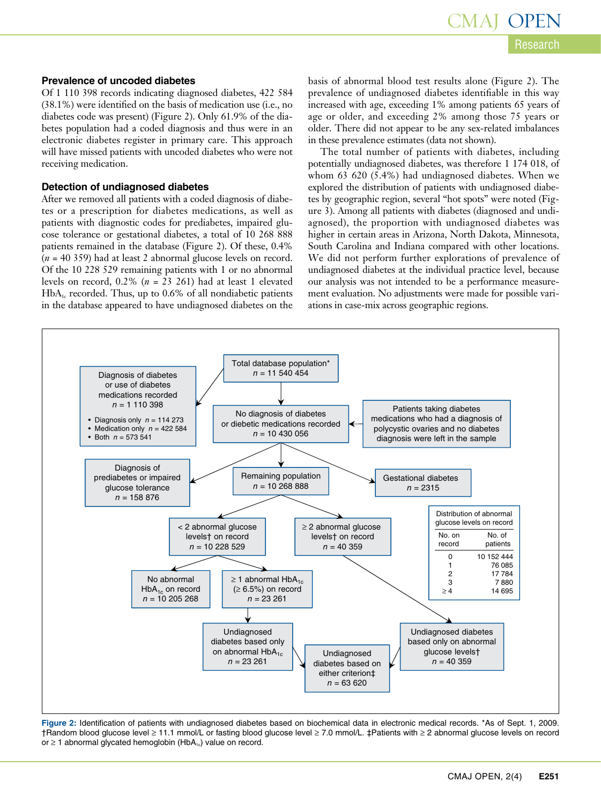### Research CMAJ OPEN

#### **Prevalence of uncoded diabetes**

Of 1 110 398 records indicating diagnosed diabetes, 422 584 (38.1%) were identified on the basis of medication use (i.e., no diabetes code was present) (Figure 2). Only 61.9% of the diabetes population had a coded diagnosis and thus were in an electronic diabetes register in primary care. This approach will have missed patients with uncoded diabetes who were not receiving medication.

#### **Detection of undiagnosed diabetes**

After we removed all patients with a coded diagnosis of diabetes or a prescription for diabetes medications, as well as patients with diagnostic codes for prediabetes, impaired glucose tolerance or gestational diabetes, a total of 10 268 888 patients remained in the database (Figure 2). Of these, 0.4%  $(n = 40 359)$  had at least 2 abnormal glucose levels on record. Of the 10 228 529 remaining patients with 1 or no abnormal levels on record, 0.2% (*n* = 23 261) had at least 1 elevated  $HbA<sub>1c</sub>$  recorded. Thus, up to 0.6% of all nondiabetic patients in the database appeared to have undiagnosed diabetes on the

basis of abnormal blood test results alone (Figure 2). The prevalence of undiagnosed diabetes identifiable in this way increased with age, exceeding 1% among patients 65 years of age or older, and exceeding 2% among those 75 years or older. There did not appear to be any sex-related imbalances in these prevalence estimates (data not shown).

The total number of patients with diabetes, including potentially undiagnosed diabetes, was therefore 1 174 018, of whom 63 620 (5.4%) had undiagnosed diabetes. When we explored the distribution of patients with undiagnosed diabetes by geographic region, several "hot spots" were noted (Figure 3). Among all patients with diabetes (diagnosed and undiagnosed), the proportion with undiagnosed diabetes was higher in certain areas in Arizona, North Dakota, Minnesota, South Carolina and Indiana compared with other locations. We did not perform further explorations of prevalence of undiagnosed diabetes at the individual practice level, because our analysis was not intended to be a performance measurement evaluation. No adjustments were made for possible variations in case-mix across geographic regions.



**Figure 2:** Identification of patients with undiagnosed diabetes based on biochemical data in electronic medical records. \*As of Sept. 1, 2009. †Random blood glucose level ≥ 11.1 mmol/L or fasting blood glucose level ≥ 7.0 mmol/L. ‡Patients with ≥ 2 abnormal glucose levels on record or  $\geq$  1 abnormal glycated hemoglobin (HbA<sub>1c</sub>) value on record.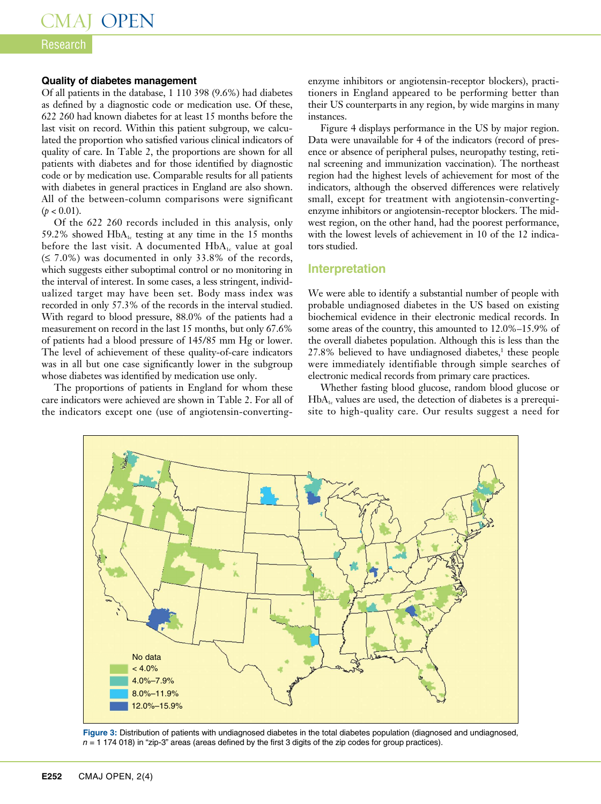#### Research

#### **Quality of diabetes management**

Of all patients in the database, 1 110 398 (9.6%) had diabetes as defined by a diagnostic code or medication use. Of these, 622 260 had known diabetes for at least 15 months before the last visit on record. Within this patient subgroup, we calculated the proportion who satisfied various clinical indicators of quality of care. In Table 2, the proportions are shown for all patients with diabetes and for those identified by diagnostic code or by medication use. Comparable results for all patients with diabetes in general practices in England are also shown. All of the between-column comparisons were significant  $(p < 0.01)$ .

Of the 622 260 records included in this analysis, only 59.2% showed  $HbA_{1c}$  testing at any time in the 15 months before the last visit. A documented  $HbA_{1c}$  value at goal  $( \leq 7.0\%)$  was documented in only 33.8% of the records, which suggests either suboptimal control or no monitoring in the interval of interest. In some cases, a less stringent, individualized target may have been set. Body mass index was recorded in only 57.3% of the records in the interval studied. With regard to blood pressure, 88.0% of the patients had a measurement on record in the last 15 months, but only 67.6% of patients had a blood pressure of 145/85 mm Hg or lower. The level of achievement of these quality-of-care indicators was in all but one case significantly lower in the subgroup whose diabetes was identified by medication use only.

The proportions of patients in England for whom these care indicators were achieved are shown in Table 2. For all of the indicators except one (use of angiotensin-convertingenzyme inhibitors or angiotensin-receptor blockers), practitioners in England appeared to be performing better than their US counterparts in any region, by wide margins in many instances.

Figure 4 displays performance in the US by major region. Data were unavailable for 4 of the indicators (record of presence or absence of peripheral pulses, neuropathy testing, retinal screening and immunization vaccination). The northeast region had the highest levels of achievement for most of the indicators, although the observed differences were relatively small, except for treatment with angiotensin-convertingenzyme inhibitors or angiotensin-receptor blockers. The midwest region, on the other hand, had the poorest performance, with the lowest levels of achievement in 10 of the 12 indicators studied.

#### **Interpretation**

We were able to identify a substantial number of people with probable undiagnosed diabetes in the US based on existing biochemical evidence in their electronic medical records. In some areas of the country, this amounted to 12.0%–15.9% of the overall diabetes population. Although this is less than the 27.8% believed to have undiagnosed diabetes,<sup>1</sup> these people were immediately identifiable through simple searches of electronic medical records from primary care practices.

Whether fasting blood glucose, random blood glucose or  $HbA<sub>1c</sub>$  values are used, the detection of diabetes is a prerequisite to high-quality care. Our results suggest a need for



**Figure 3:** Distribution of patients with undiagnosed diabetes in the total diabetes population (diagnosed and undiagnosed, *n* = 1 174 018) in "zip-3" areas (areas defined by the first 3 digits of the zip codes for group practices).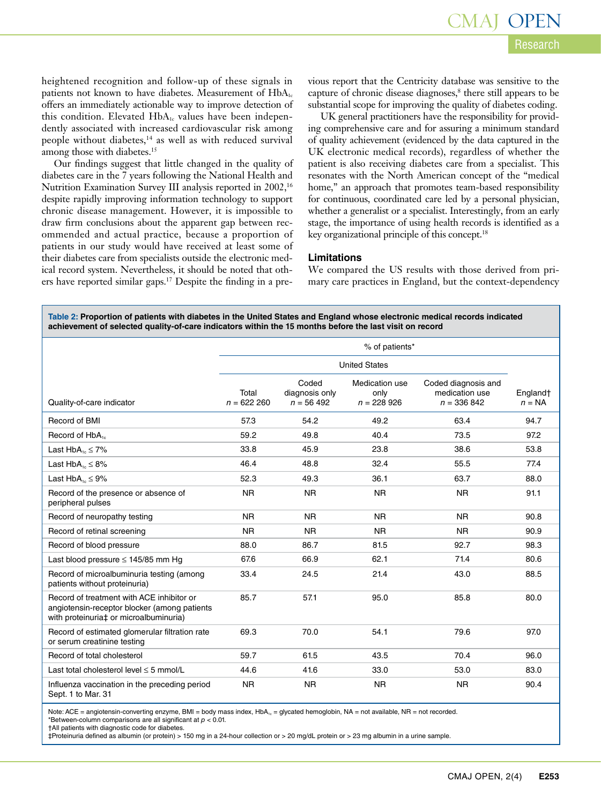heightened recognition and follow-up of these signals in patients not known to have diabetes. Measurement of  $HbA_{1c}$ offers an immediately actionable way to improve detection of this condition. Elevated  $HbA_{1c}$  values have been independently associated with increased cardiovascular risk among people without diabetes,<sup>14</sup> as well as with reduced survival among those with diabetes.<sup>15</sup>

Our findings suggest that little changed in the quality of diabetes care in the 7 years following the National Health and Nutrition Examination Survey III analysis reported in 2002,16 despite rapidly improving information technology to support chronic disease management. However, it is impossible to draw firm conclusions about the apparent gap between recommended and actual practice, because a proportion of patients in our study would have received at least some of their diabetes care from specialists outside the electronic medical record system. Nevertheless, it should be noted that others have reported similar gaps.17 Despite the finding in a previous report that the Centricity database was sensitive to the capture of chronic disease diagnoses,<sup>8</sup> there still appears to be substantial scope for improving the quality of diabetes coding.

UK general practitioners have the responsibility for providing comprehensive care and for assuring a minimum standard of quality achievement (evidenced by the data captured in the UK electronic medical records), regardless of whether the patient is also receiving diabetes care from a specialist. This resonates with the North American concept of the "medical home," an approach that promotes team-based responsibility for continuous, coordinated care led by a personal physician, whether a generalist or a specialist. Interestingly, from an early stage, the importance of using health records is identified as a key organizational principle of this concept.<sup>18</sup>

#### **Limitations**

We compared the US results with those derived from primary care practices in England, but the context-dependency

**Table 2: Proportion of patients with diabetes in the United States and England whose electronic medical records indicated achievement of selected quality-of-care indicators within the 15 months before the last visit on record**

|                                                                                                                                     | % of patients*        |                                         |                                        |                                                       |                      |
|-------------------------------------------------------------------------------------------------------------------------------------|-----------------------|-----------------------------------------|----------------------------------------|-------------------------------------------------------|----------------------|
|                                                                                                                                     | <b>United States</b>  |                                         |                                        |                                                       |                      |
| Quality-of-care indicator                                                                                                           | Total<br>$n = 622260$ | Coded<br>diagnosis only<br>$n = 56,492$ | Medication use<br>only<br>$n = 228926$ | Coded diagnosis and<br>medication use<br>$n = 336842$ | England†<br>$n = NA$ |
| Record of BMI                                                                                                                       | 57.3                  | 54.2                                    | 49.2                                   | 63.4                                                  | 94.7                 |
| Record of HbA <sub>1c</sub>                                                                                                         | 59.2                  | 49.8                                    | 40.4                                   | 73.5                                                  | 97.2                 |
| Last $HbA_{1c} \leq 7\%$                                                                                                            | 33.8                  | 45.9                                    | 23.8                                   | 38.6                                                  | 53.8                 |
| Last $HbA_{1c} \leq 8\%$                                                                                                            | 46.4                  | 48.8                                    | 32.4                                   | 55.5                                                  | 77.4                 |
| Last $HbA_{1c} \leq 9\%$                                                                                                            | 52.3                  | 49.3                                    | 36.1                                   | 63.7                                                  | 88.0                 |
| Record of the presence or absence of<br>peripheral pulses                                                                           | <b>NR</b>             | <b>NR</b>                               | <b>NR</b>                              | <b>NR</b>                                             | 91.1                 |
| Record of neuropathy testing                                                                                                        | <b>NR</b>             | <b>NR</b>                               | <b>NR</b>                              | <b>NR</b>                                             | 90.8                 |
| Record of retinal screening                                                                                                         | <b>NR</b>             | <b>NR</b>                               | <b>NR</b>                              | <b>NR</b>                                             | 90.9                 |
| Record of blood pressure                                                                                                            | 88.0                  | 86.7                                    | 81.5                                   | 92.7                                                  | 98.3                 |
| Last blood pressure $\leq$ 145/85 mm Hg                                                                                             | 67.6                  | 66.9                                    | 62.1                                   | 71.4                                                  | 80.6                 |
| Record of microalbuminuria testing (among<br>patients without proteinuria)                                                          | 33.4                  | 24.5                                    | 21.4                                   | 43.0                                                  | 88.5                 |
| Record of treatment with ACE inhibitor or<br>angiotensin-receptor blocker (among patients<br>with proteinuria‡ or microalbuminuria) | 85.7                  | 57.1                                    | 95.0                                   | 85.8                                                  | 80.0                 |
| Record of estimated glomerular filtration rate<br>or serum creatinine testing                                                       | 69.3                  | 70.0                                    | 54.1                                   | 79.6                                                  | 97.0                 |
| Record of total cholesterol                                                                                                         | 59.7                  | 61.5                                    | 43.5                                   | 70.4                                                  | 96.0                 |
| Last total cholesterol level $\leq$ 5 mmol/L                                                                                        | 44.6                  | 41.6                                    | 33.0                                   | 53.0                                                  | 83.0                 |
| Influenza vaccination in the preceding period<br>Sept. 1 to Mar. 31                                                                 | <b>NR</b>             | <b>NR</b>                               | <b>NR</b>                              | <b>NR</b>                                             | 90.4                 |

Note: ACE = angiotensin-converting enzyme, BMI = body mass index, HbA<sub>1c</sub> = glycated hemoglobin, NA = not available, NR = not recorded.

\*Between-column comparisons are all significant at *p* < 0.01.

†All patients with diagnostic code for diabetes.

‡Proteinuria defined as albumin (or protein) > 150 mg in a 24-hour collection or > 20 mg/dL protein or > 23 mg albumin in a urine sample.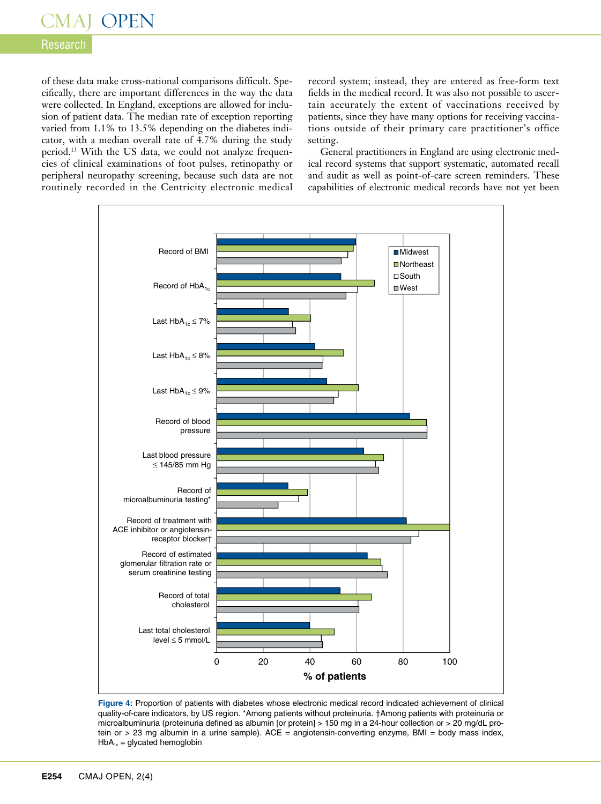#### **Research**

of these data make cross-national comparisons difficult. Specifically, there are important differences in the way the data were collected. In England, exceptions are allowed for inclusion of patient data. The median rate of exception reporting varied from 1.1% to 13.5% depending on the diabetes indicator, with a median overall rate of 4.7% during the study period.13 With the US data, we could not analyze frequencies of clinical examinations of foot pulses, retinopathy or peripheral neuropathy screening, because such data are not routinely recorded in the Centricity electronic medical

record system; instead, they are entered as free-form text fields in the medical record. It was also not possible to ascertain accurately the extent of vaccinations received by patients, since they have many options for receiving vaccinations outside of their primary care practitioner's office setting.

General practitioners in England are using electronic medical record systems that support systematic, automated recall and audit as well as point-of-care screen reminders. These capabilities of electronic medical records have not yet been



**Figure 4:** Proportion of patients with diabetes whose electronic medical record indicated achievement of clinical quality-of-care indicators, by US region. \*Among patients without proteinuria. †Among patients with proteinuria or microalbuminuria (proteinuria defined as albumin [or protein] > 150 mg in a 24-hour collection or > 20 mg/dL protein or > 23 mg albumin in a urine sample). ACE = angiotensin-converting enzyme, BMI = body mass index,  $HbA_{1c}$  = glycated hemoglobin